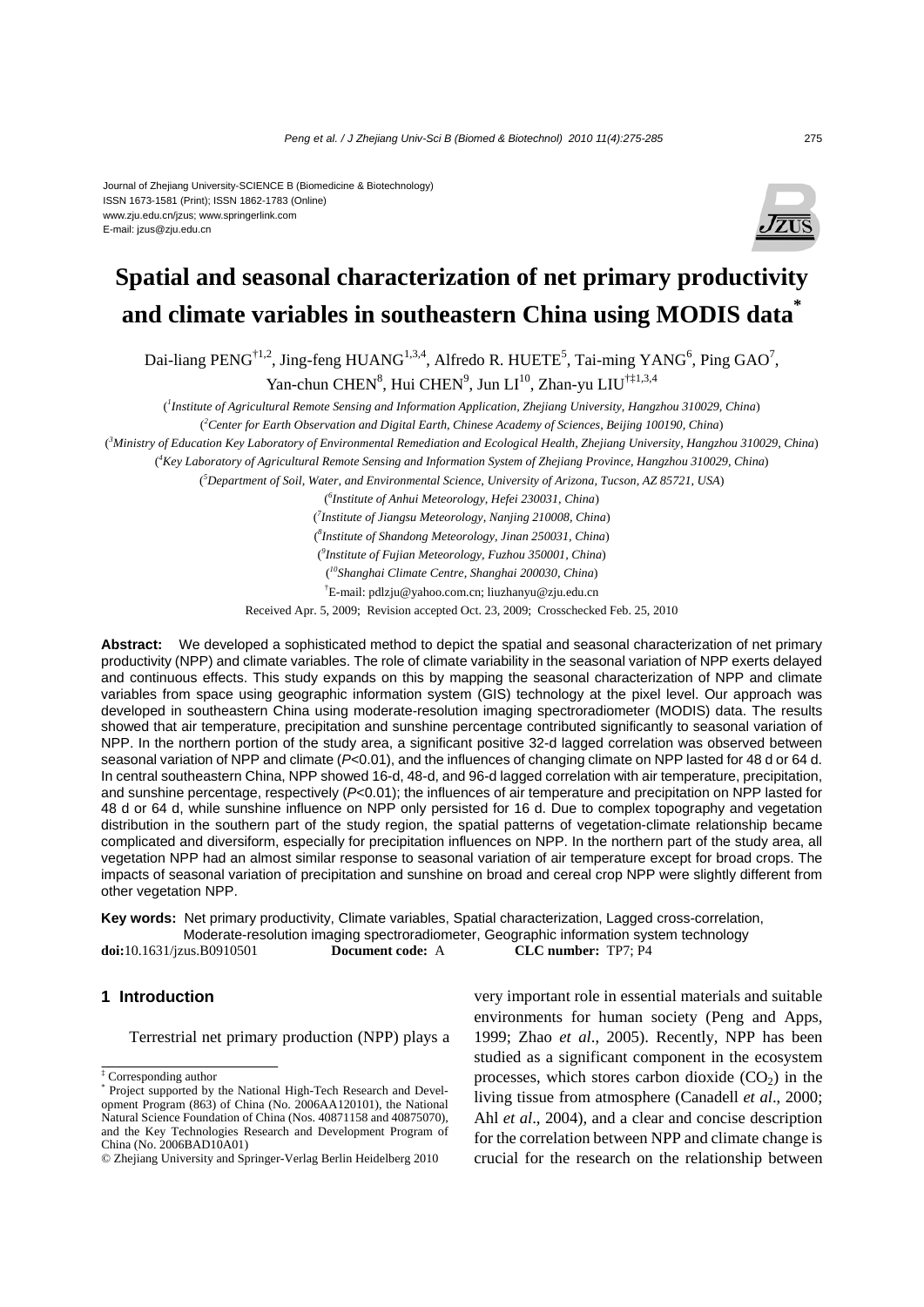#### Journal of Zhejiang University-SCIENCE B (Biomedicine & Biotechnology) ISSN 1673-1581 (Print); ISSN 1862-1783 (Online) www.zju.edu.cn/jzus; www.springerlink.com E-mail: jzus@zju.edu.cn



# **Spatial and seasonal characterization of net primary productivity and climate variables in southeastern China using MODIS data\***

Dai-liang PENG<sup>†1,2</sup>, Jing-feng HUANG<sup>1,3,4</sup>, Alfredo R. HUETE<sup>5</sup>, Tai-ming YANG<sup>6</sup>, Ping GAO<sup>7</sup>, Yan-chun CHEN<sup>8</sup>, Hui CHEN<sup>9</sup>, Jun LI<sup>10</sup>, Zhan-yu LIU<sup>†‡1,3,4</sup>

( *1 Institute of Agricultural Remote Sensing and Information Application, Zhejiang University, Hangzhou 310029, China*)

( *2 Center for Earth Observation and Digital Earth, Chinese Academy of Sciences, Beijing 100190, China*)

( *3 Ministry of Education Key Laboratory of Environmental Remediation and Ecological Health, Zhejiang University, Hangzhou 310029, China*)

( *4 Key Laboratory of Agricultural Remote Sensing and Information System of Zhejiang Province, Hangzhou 310029, China*)

( *5 Department of Soil, Water, and Environmental Science, University of Arizona, Tucson, AZ 85721, USA*)

( *6 Institute of Anhui Meteorology, Hefei 230031, China*)

( *7 Institute of Jiangsu Meteorology, Nanjing 210008, China*)

( *8 Institute of Shandong Meteorology, Jinan 250031, China*)

( *9 Institute of Fujian Meteorology, Fuzhou 350001, China*)

( *10Shanghai Climate Centre, Shanghai 200030, China*)

† E-mail: pdlzju@yahoo.com.cn; liuzhanyu@zju.edu.cn

Received Apr. 5, 2009; Revision accepted Oct. 23, 2009; Crosschecked Feb. 25, 2010

**Abstract:** We developed a sophisticated method to depict the spatial and seasonal characterization of net primary productivity (NPP) and climate variables. The role of climate variability in the seasonal variation of NPP exerts delayed and continuous effects. This study expands on this by mapping the seasonal characterization of NPP and climate variables from space using geographic information system (GIS) technology at the pixel level. Our approach was developed in southeastern China using moderate-resolution imaging spectroradiometer (MODIS) data. The results showed that air temperature, precipitation and sunshine percentage contributed significantly to seasonal variation of NPP. In the northern portion of the study area, a significant positive 32-d lagged correlation was observed between seasonal variation of NPP and climate (*P*<0.01), and the influences of changing climate on NPP lasted for 48 d or 64 d. In central southeastern China, NPP showed 16-d, 48-d, and 96-d lagged correlation with air temperature, precipitation, and sunshine percentage, respectively (*P*<0.01); the influences of air temperature and precipitation on NPP lasted for 48 d or 64 d, while sunshine influence on NPP only persisted for 16 d. Due to complex topography and vegetation distribution in the southern part of the study region, the spatial patterns of vegetation-climate relationship became complicated and diversiform, especially for precipitation influences on NPP. In the northern part of the study area, all vegetation NPP had an almost similar response to seasonal variation of air temperature except for broad crops. The impacts of seasonal variation of precipitation and sunshine on broad and cereal crop NPP were slightly different from other vegetation NPP.

**Key words:** Net primary productivity, Climate variables, Spatial characterization, Lagged cross-correlation, Moderate-resolution imaging spectroradiometer, Geographic information system technology **doi:**10.1631/jzus.B0910501 **Document code:** A **CLC number:** TP7; P4

# **1 Introduction**

Terrestrial net primary production (NPP) plays a

very important role in essential materials and suitable environments for human society (Peng and Apps, 1999; Zhao *et al*., 2005). Recently, NPP has been studied as a significant component in the ecosystem processes, which stores carbon dioxide  $(CO<sub>2</sub>)$  in the living tissue from atmosphere (Canadell *et al*., 2000; Ahl *et al*., 2004), and a clear and concise description for the correlation between NPP and climate change is crucial for the research on the relationship between

<sup>‡</sup> Corresponding author

<sup>\*</sup> Project supported by the National High-Tech Research and Development Program (863) of China (No. 2006AA120101), the National Natural Science Foundation of China (Nos. 40871158 and 40875070), and the Key Technologies Research and Development Program of China (No. 2006BAD10A01)

<sup>©</sup> Zhejiang University and Springer-Verlag Berlin Heidelberg 2010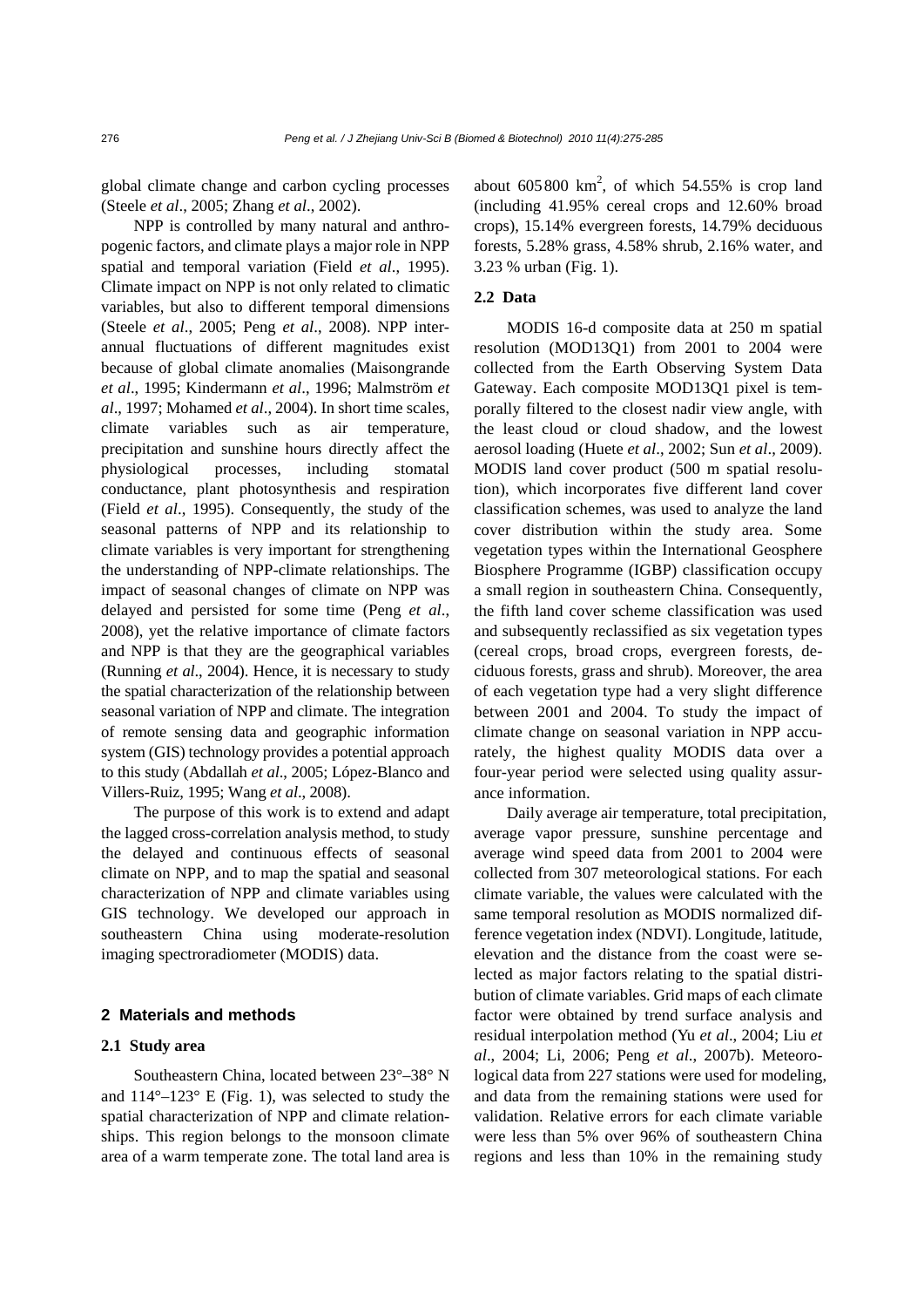global climate change and carbon cycling processes (Steele *et al*., 2005; Zhang *et al*., 2002).

NPP is controlled by many natural and anthropogenic factors, and climate plays a major role in NPP spatial and temporal variation (Field *et al*., 1995). Climate impact on NPP is not only related to climatic variables, but also to different temporal dimensions (Steele *et al*., 2005; Peng *et al*., 2008). NPP interannual fluctuations of different magnitudes exist because of global climate anomalies (Maisongrande *et al*., 1995; Kindermann *et al*., 1996; Malmström *et al*., 1997; Mohamed *et al*., 2004). In short time scales, climate variables such as air temperature, precipitation and sunshine hours directly affect the physiological processes, including stomatal conductance, plant photosynthesis and respiration (Field *et al*., 1995). Consequently, the study of the seasonal patterns of NPP and its relationship to climate variables is very important for strengthening the understanding of NPP-climate relationships. The impact of seasonal changes of climate on NPP was delayed and persisted for some time (Peng *et al*., 2008), yet the relative importance of climate factors and NPP is that they are the geographical variables (Running *et al*., 2004). Hence, it is necessary to study the spatial characterization of the relationship between seasonal variation of NPP and climate. The integration of remote sensing data and geographic information system (GIS) technology provides a potential approach to this study (Abdallah *et al*., 2005; López-Blanco and Villers-Ruiz, 1995; Wang *et al*., 2008).

The purpose of this work is to extend and adapt the lagged cross-correlation analysis method, to study the delayed and continuous effects of seasonal climate on NPP, and to map the spatial and seasonal characterization of NPP and climate variables using GIS technology. We developed our approach in southeastern China using moderate-resolution imaging spectroradiometer (MODIS) data.

## **2 Materials and methods**

# **2.1 Study area**

Southeastern China, located between 23°–38° N and  $114^{\circ}-123^{\circ}$  E (Fig. 1), was selected to study the spatial characterization of NPP and climate relationships. This region belongs to the monsoon climate area of a warm temperate zone. The total land area is

about  $605800 \text{ km}^2$ , of which  $54.55\%$  is crop land (including 41.95% cereal crops and 12.60% broad crops), 15.14% evergreen forests, 14.79% deciduous forests, 5.28% grass, 4.58% shrub, 2.16% water, and 3.23 % urban (Fig. 1).

# **2.2 Data**

MODIS 16-d composite data at 250 m spatial resolution (MOD13Q1) from 2001 to 2004 were collected from the Earth Observing System Data Gateway. Each composite MOD13Q1 pixel is temporally filtered to the closest nadir view angle, with the least cloud or cloud shadow, and the lowest aerosol loading (Huete *et al*., 2002; Sun *et al*., 2009). MODIS land cover product (500 m spatial resolution), which incorporates five different land cover classification schemes, was used to analyze the land cover distribution within the study area. Some vegetation types within the International Geosphere Biosphere Programme (IGBP) classification occupy a small region in southeastern China. Consequently, the fifth land cover scheme classification was used and subsequently reclassified as six vegetation types (cereal crops, broad crops, evergreen forests, deciduous forests, grass and shrub). Moreover, the area of each vegetation type had a very slight difference between 2001 and 2004. To study the impact of climate change on seasonal variation in NPP accurately, the highest quality MODIS data over a four-year period were selected using quality assurance information.

Daily average air temperature, total precipitation, average vapor pressure, sunshine percentage and average wind speed data from 2001 to 2004 were collected from 307 meteorological stations. For each climate variable, the values were calculated with the same temporal resolution as MODIS normalized difference vegetation index (NDVI). Longitude, latitude, elevation and the distance from the coast were selected as major factors relating to the spatial distribution of climate variables. Grid maps of each climate factor were obtained by trend surface analysis and residual interpolation method (Yu *et al*., 2004; Liu *et al*., 2004; Li, 2006; Peng *et al*., 2007b). Meteorological data from 227 stations were used for modeling, and data from the remaining stations were used for validation. Relative errors for each climate variable were less than 5% over 96% of southeastern China regions and less than 10% in the remaining study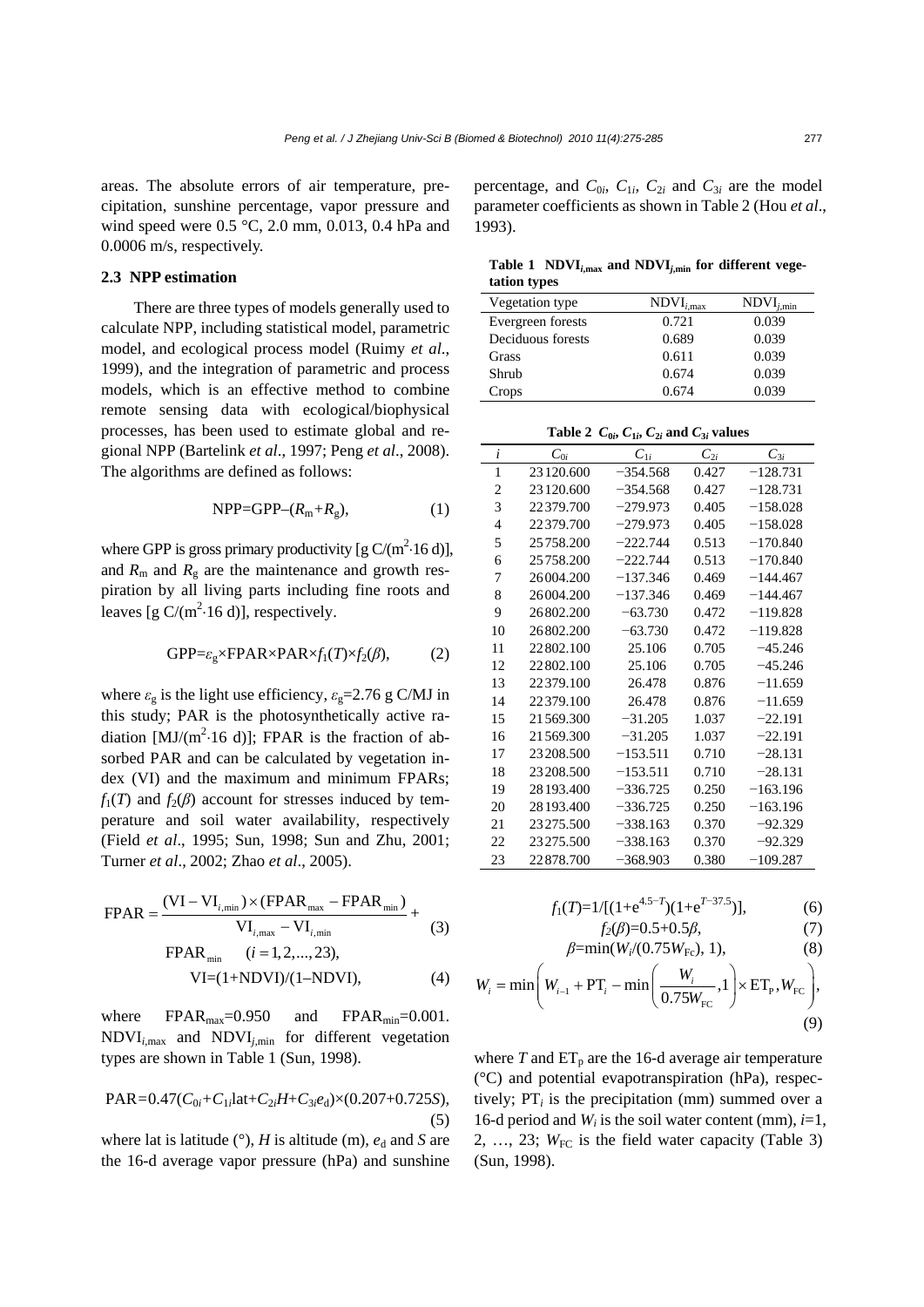areas. The absolute errors of air temperature, precipitation, sunshine percentage, vapor pressure and wind speed were 0.5 °C, 2.0 mm, 0.013, 0.4 hPa and 0.0006 m/s, respectively.

#### **2.3 NPP estimation**

There are three types of models generally used to calculate NPP, including statistical model, parametric model, and ecological process model (Ruimy *et al*., 1999), and the integration of parametric and process models, which is an effective method to combine remote sensing data with ecological/biophysical processes, has been used to estimate global and regional NPP (Bartelink *et al*., 1997; Peng *et al*., 2008). The algorithms are defined as follows:

$$
NPP = GPP - (R_m + R_g), \qquad (1)
$$

where GPP is gross primary productivity [g  $C/(m^2.16 d)$ ], and  $R_m$  and  $R_g$  are the maintenance and growth respiration by all living parts including fine roots and leaves  $[g C/(m^2.16 d)]$ , respectively.

$$
GPP = \varepsilon_{g} \times FPAR \times PAR \times f_{1}(T) \times f_{2}(\beta), \tag{2}
$$

where  $\varepsilon_g$  is the light use efficiency,  $\varepsilon_g$ =2.76 g C/MJ in this study; PAR is the photosynthetically active radiation  $[MJ/(m^2.16 d)]$ ; FPAR is the fraction of absorbed PAR and can be calculated by vegetation index (VI) and the maximum and minimum FPARs;  $f_1(T)$  and  $f_2(\beta)$  account for stresses induced by temperature and soil water availability, respectively (Field *et al*., 1995; Sun, 1998; Sun and Zhu, 2001; Turner *et al*., 2002; Zhao *et al*., 2005).

$$
FPAR = \frac{(VI - VI_{i,min}) \times (FPAR_{max} - FPAR_{min})}{VI_{i,max} - VI_{i,min}} + (3)
$$

$$
FPAR_{min} \quad (i = 1, 2, ..., 23),
$$

$$
VI = (1 + NDVI)/(1 - NDVI), \tag{4}
$$

where  $FPAR_{\text{max}}=0.950$  and  $FPAR_{\text{min}}=0.001$ . NDVI*i*,max and NDVI*j*,min for different vegetation types are shown in Table 1 (Sun, 1998).

 $PAR=0.47(C_{0i}+C_{1i}lat+C_{2i}H+C_{3i}e_d)\times(0.207+0.725S),$ (5)

where lat is latitude  $(°)$ , *H* is altitude (m),  $e_d$  and *S* are the 16-d average vapor pressure (hPa) and sunshine percentage, and  $C_{0i}$ ,  $C_{1i}$ ,  $C_{2i}$  and  $C_{3i}$  are the model parameter coefficients as shown in Table 2 (Hou *et al*., 1993).

Table 1  $NDVI_{i,max}$  and  $NDVI_{i,min}$  for different vege**tation types**

| Vegetation type   | $NDVI_{i,max}$ | $NDVI_{i,min}$ |
|-------------------|----------------|----------------|
| Evergreen forests | 0.721          | 0.039          |
| Deciduous forests | 0.689          | 0.039          |
| Grass             | 0.611          | 0.039          |
| Shrub             | 0.674          | 0.039          |
| Crops             | 0.674          | 0.039          |

Table 2  $C_{0i}$ ,  $C_{1i}$ ,  $C_{2i}$  and  $C_{3i}$  values

| i              | $\mathcal{C}_{0i}$ | $C_{1i}$   | $\mathcal{C}_{2i}$ | $C_{3i}$   |
|----------------|--------------------|------------|--------------------|------------|
| 1              | 23 120.600         | $-354.568$ | 0.427              | $-128.731$ |
| 2              | 23120.600          | $-354.568$ | 0.427              | $-128.731$ |
| 3              | 22379.700          | $-279.973$ | 0.405              | $-158.028$ |
| $\overline{4}$ | 22379.700          | $-279.973$ | 0.405              | $-158.028$ |
| 5              | 25758.200          | $-222.744$ | 0.513              | $-170.840$ |
| 6              | 25758.200          | $-222.744$ | 0.513              | $-170.840$ |
| 7              | 26004.200          | $-137.346$ | 0.469              | $-144.467$ |
| 8              | 26004.200          | $-137.346$ | 0.469              | $-144.467$ |
| 9              | 26802.200          | $-63.730$  | 0.472              | $-119.828$ |
| 10             | 26802.200          | $-63.730$  | 0.472              | $-119.828$ |
| 11             | 22802.100          | 25.106     | 0.705              | $-45.246$  |
| 12             | 22802.100          | 25.106     | 0.705              | $-45.246$  |
| 13             | 22379.100          | 26.478     | 0.876              | $-11.659$  |
| 14             | 22379.100          | 26.478     | 0.876              | $-11.659$  |
| 15             | 21569.300          | $-31.205$  | 1.037              | $-22.191$  |
| 16             | 21569.300          | $-31.205$  | 1.037              | $-22.191$  |
| 17             | 23208.500          | $-153.511$ | 0.710              | $-28.131$  |
| 18             | 23208.500          | $-153.511$ | 0.710              | $-28.131$  |
| 19             | 28193.400          | $-336.725$ | 0.250              | $-163.196$ |
| 20             | 28193.400          | $-336.725$ | 0.250              | $-163.196$ |
| 21             | 23275.500          | $-338.163$ | 0.370              | $-92.329$  |
| 22             | 23275.500          | $-338.163$ | 0.370              | $-92.329$  |
| 23             | 22878.700          | $-368.903$ | 0.380              | –109.287   |

$$
f_1(T)=1/[(1+e^{4.5-T})(1+e^{T-37.5})],
$$
 (6)

$$
f_2(\beta)=0.5+0.5\beta,
$$
 (7)  

$$
\beta-\min(W/(\beta 75W_{\tau})-1)
$$
 (8)

$$
W_{i} = \min\left(W_{i-1} + PT_{i} - \min\left(\frac{W_{i}}{0.75W_{\text{FC}}}, 1\right) \times ET_{\text{P}}, W_{\text{FC}}\right),\tag{9}
$$

where  $T$  and  $ET_p$  are the 16-d average air temperature (°C) and potential evapotranspiration (hPa), respectively;  $PT_i$  is the precipitation (mm) summed over a 16-d period and  $W_i$  is the soil water content (mm),  $i=1$ , 2, ..., 23;  $W_{\text{FC}}$  is the field water capacity (Table 3) (Sun, 1998).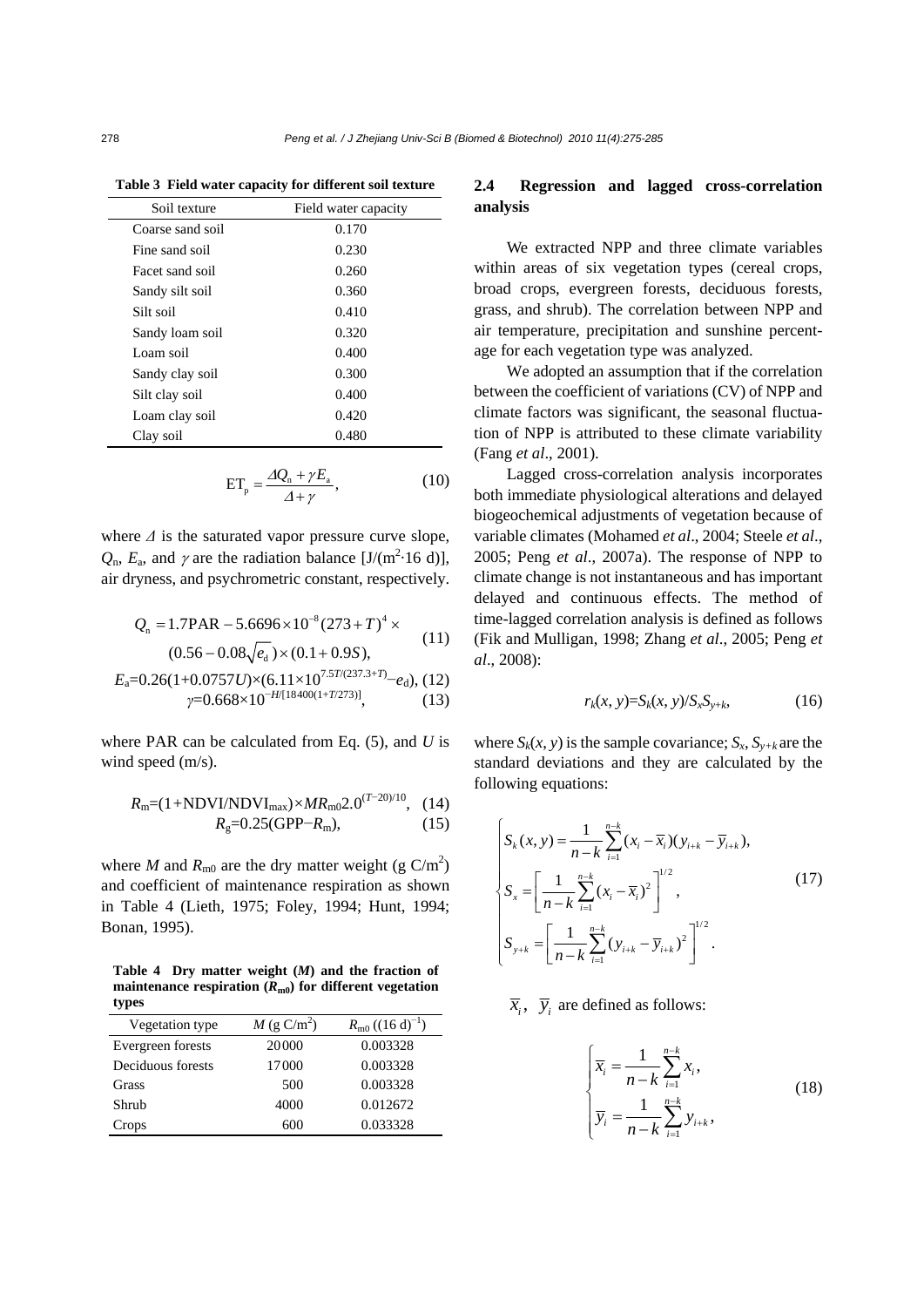| Soil texture     | Field water capacity |
|------------------|----------------------|
| Coarse sand soil | 0.170                |
| Fine sand soil   | 0.230                |
| Facet sand soil  | 0.260                |
| Sandy silt soil  | 0.360                |
| Silt soil        | 0.410                |
| Sandy loam soil  | 0.320                |
| Loam soil        | 0.400                |
| Sandy clay soil  | 0.300                |
| Silt clay soil   | 0.400                |
| Loam clay soil   | 0.420                |
| Clay soil        | 0.480                |

**Table 3 Field water capacity for different soil texture**

$$
ET_{p} = \frac{\Delta Q_{n} + \gamma E_{a}}{\Delta + \gamma}, \qquad (10)
$$

where *Δ* is the saturated vapor pressure curve slope,  $Q_{\text{n}}$ ,  $E_{\text{a}}$ , and  $\gamma$  are the radiation balance [J/(m<sup>2</sup>·16 d)], air dryness, and psychrometric constant, respectively.

$$
Q_n = 1.7 \text{PAR} - 5.6696 \times 10^{-8} (273 + T)^4 \times \tag{11}
$$

$$
(0.56 - 0.08\sqrt{e_d}) \times (0.1 + 0.9S),
$$

$$
E_a=0.26(1+0.0757U)\times(6.11\times10^{7.5T/(237.3+T)}-e_d),(12)
$$
  
\n
$$
\gamma=0.668\times10^{-H/[18400(1+T/273)]},
$$
\n(13)

where PAR can be calculated from Eq. (5), and *U* is wind speed (m/s).

$$
R_{\rm m} = (1 + \text{NDVI/NDVI}_{\rm max}) \times MR_{\rm m0} 2.0^{(T - 20)/10}, \quad (14)
$$
  

$$
R_{\rm g} = 0.25(\text{GPP} - R_{\rm m}), \quad (15)
$$

where *M* and  $R_{\text{m0}}$  are the dry matter weight (g C/m<sup>2</sup>) and coefficient of maintenance respiration as shown in Table 4 (Lieth, 1975; Foley, 1994; Hunt, 1994; Bonan, 1995).

**Table 4 Dry matter weight (***M***) and the fraction of maintenance respiration (***R***m0) for different vegetation types**

| Vegetation type   | $M$ (g C/m <sup>2</sup> ) | $R_{\rm m0}$ ((16 d) <sup>-1</sup> ) |
|-------------------|---------------------------|--------------------------------------|
| Evergreen forests | 20000                     | 0.003328                             |
| Deciduous forests | 17000                     | 0.003328                             |
| Grass             | 500                       | 0.003328                             |
| Shrub             | 4000                      | 0.012672                             |
| Crops             | 600                       | 0.033328                             |

# **2.4 Regression and lagged cross-correlation analysis**

We extracted NPP and three climate variables within areas of six vegetation types (cereal crops, broad crops, evergreen forests, deciduous forests, grass, and shrub). The correlation between NPP and air temperature, precipitation and sunshine percentage for each vegetation type was analyzed.

We adopted an assumption that if the correlation between the coefficient of variations (CV) of NPP and climate factors was significant, the seasonal fluctuation of NPP is attributed to these climate variability (Fang *et al*., 2001).

Lagged cross-correlation analysis incorporates both immediate physiological alterations and delayed biogeochemical adjustments of vegetation because of variable climates (Mohamed *et al*., 2004; Steele *et al*., 2005; Peng *et al*., 2007a). The response of NPP to climate change is not instantaneous and has important delayed and continuous effects. The method of time-lagged correlation analysis is defined as follows (Fik and Mulligan, 1998; Zhang *et al*., 2005; Peng *et al*., 2008):

$$
r_k(x, y) = S_k(x, y) / S_x S_{y+k}, \qquad (16)
$$

where  $S_k(x, y)$  is the sample covariance;  $S_x$ ,  $S_{y+k}$  are the standard deviations and they are calculated by the following equations:

$$
\begin{cases}\nS_k(x, y) = \frac{1}{n-k} \sum_{i=1}^{n-k} (x_i - \overline{x}_i)(y_{i+k} - \overline{y}_{i+k}), \\
S_x = \left[ \frac{1}{n-k} \sum_{i=1}^{n-k} (x_i - \overline{x}_i)^2 \right]^{1/2}, \\
S_{y+k} = \left[ \frac{1}{n-k} \sum_{i=1}^{n-k} (y_{i+k} - \overline{y}_{i+k})^2 \right]^{1/2}.\n\end{cases}
$$
\n(17)

## $\overline{x}_i$ ,  $\overline{y}_i$  are defined as follows:

$$
\begin{cases}\n\overline{x}_i = \frac{1}{n-k} \sum_{i=1}^{n-k} x_i, \\
\overline{y}_i = \frac{1}{n-k} \sum_{i=1}^{n-k} y_{i+k},\n\end{cases}
$$
\n(18)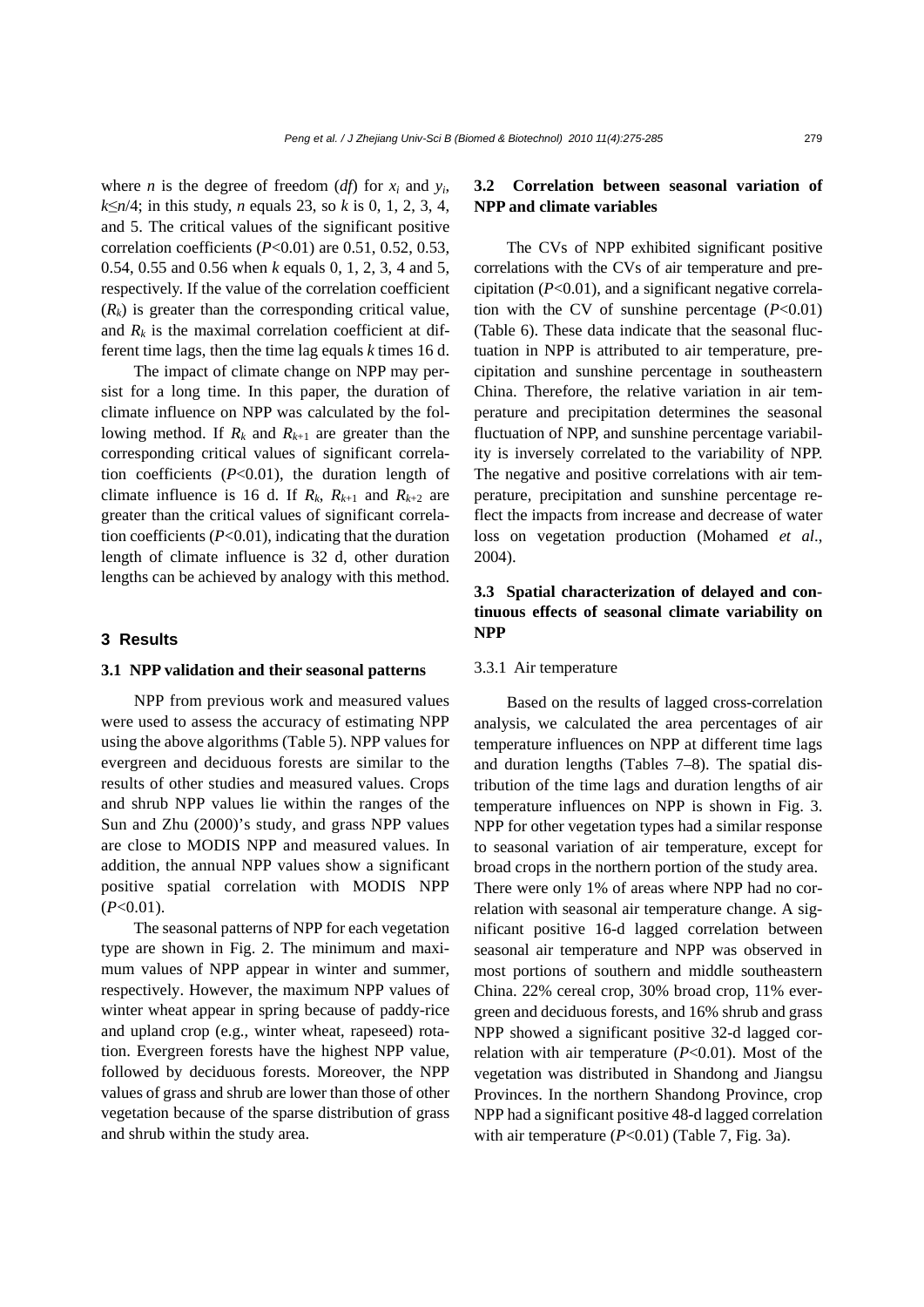where *n* is the degree of freedom  $(df)$  for  $x_i$  and  $y_i$ , *k*≤*n*/4; in this study, *n* equals 23, so *k* is 0, 1, 2, 3, 4, and 5. The critical values of the significant positive correlation coefficients (*P*<0.01) are 0.51, 0.52, 0.53, 0.54, 0.55 and 0.56 when *k* equals 0, 1, 2, 3, 4 and 5, respectively. If the value of the correlation coefficient  $(R_k)$  is greater than the corresponding critical value, and  $R_k$  is the maximal correlation coefficient at different time lags, then the time lag equals *k* times 16 d.

The impact of climate change on NPP may persist for a long time. In this paper, the duration of climate influence on NPP was calculated by the following method. If  $R_k$  and  $R_{k+1}$  are greater than the corresponding critical values of significant correlation coefficients (*P*<0.01), the duration length of climate influence is 16 d. If  $R_k$ ,  $R_{k+1}$  and  $R_{k+2}$  are greater than the critical values of significant correlation coefficients (*P*<0.01), indicating that the duration length of climate influence is 32 d, other duration lengths can be achieved by analogy with this method.

## **3 Results**

#### **3.1 NPP validation and their seasonal patterns**

NPP from previous work and measured values were used to assess the accuracy of estimating NPP using the above algorithms (Table 5). NPP values for evergreen and deciduous forests are similar to the results of other studies and measured values. Crops and shrub NPP values lie within the ranges of the Sun and Zhu (2000)'s study, and grass NPP values are close to MODIS NPP and measured values. In addition, the annual NPP values show a significant positive spatial correlation with MODIS NPP (*P*<0.01).

The seasonal patterns of NPP for each vegetation type are shown in Fig. 2. The minimum and maximum values of NPP appear in winter and summer, respectively. However, the maximum NPP values of winter wheat appear in spring because of paddy-rice and upland crop (e.g., winter wheat, rapeseed) rotation. Evergreen forests have the highest NPP value, followed by deciduous forests. Moreover, the NPP values of grass and shrub are lower than those of other vegetation because of the sparse distribution of grass and shrub within the study area.

# **3.2 Correlation between seasonal variation of NPP and climate variables**

The CVs of NPP exhibited significant positive correlations with the CVs of air temperature and precipitation (*P*<0.01), and a significant negative correlation with the CV of sunshine percentage  $(P<0.01)$ (Table 6). These data indicate that the seasonal fluctuation in NPP is attributed to air temperature, precipitation and sunshine percentage in southeastern China. Therefore, the relative variation in air temperature and precipitation determines the seasonal fluctuation of NPP, and sunshine percentage variability is inversely correlated to the variability of NPP. The negative and positive correlations with air temperature, precipitation and sunshine percentage reflect the impacts from increase and decrease of water loss on vegetation production (Mohamed *et al*., 2004).

# **3.3 Spatial characterization of delayed and continuous effects of seasonal climate variability on NPP**

## 3.3.1 Air temperature

Based on the results of lagged cross-correlation analysis, we calculated the area percentages of air temperature influences on NPP at different time lags and duration lengths (Tables 7–8). The spatial distribution of the time lags and duration lengths of air temperature influences on NPP is shown in Fig. 3. NPP for other vegetation types had a similar response to seasonal variation of air temperature, except for broad crops in the northern portion of the study area. There were only 1% of areas where NPP had no correlation with seasonal air temperature change. A significant positive 16-d lagged correlation between seasonal air temperature and NPP was observed in most portions of southern and middle southeastern China. 22% cereal crop, 30% broad crop, 11% evergreen and deciduous forests, and 16% shrub and grass NPP showed a significant positive 32-d lagged correlation with air temperature  $(P<0.01)$ . Most of the vegetation was distributed in Shandong and Jiangsu Provinces. In the northern Shandong Province, crop NPP had a significant positive 48-d lagged correlation with air temperature  $(P<0.01)$  (Table 7, Fig. 3a).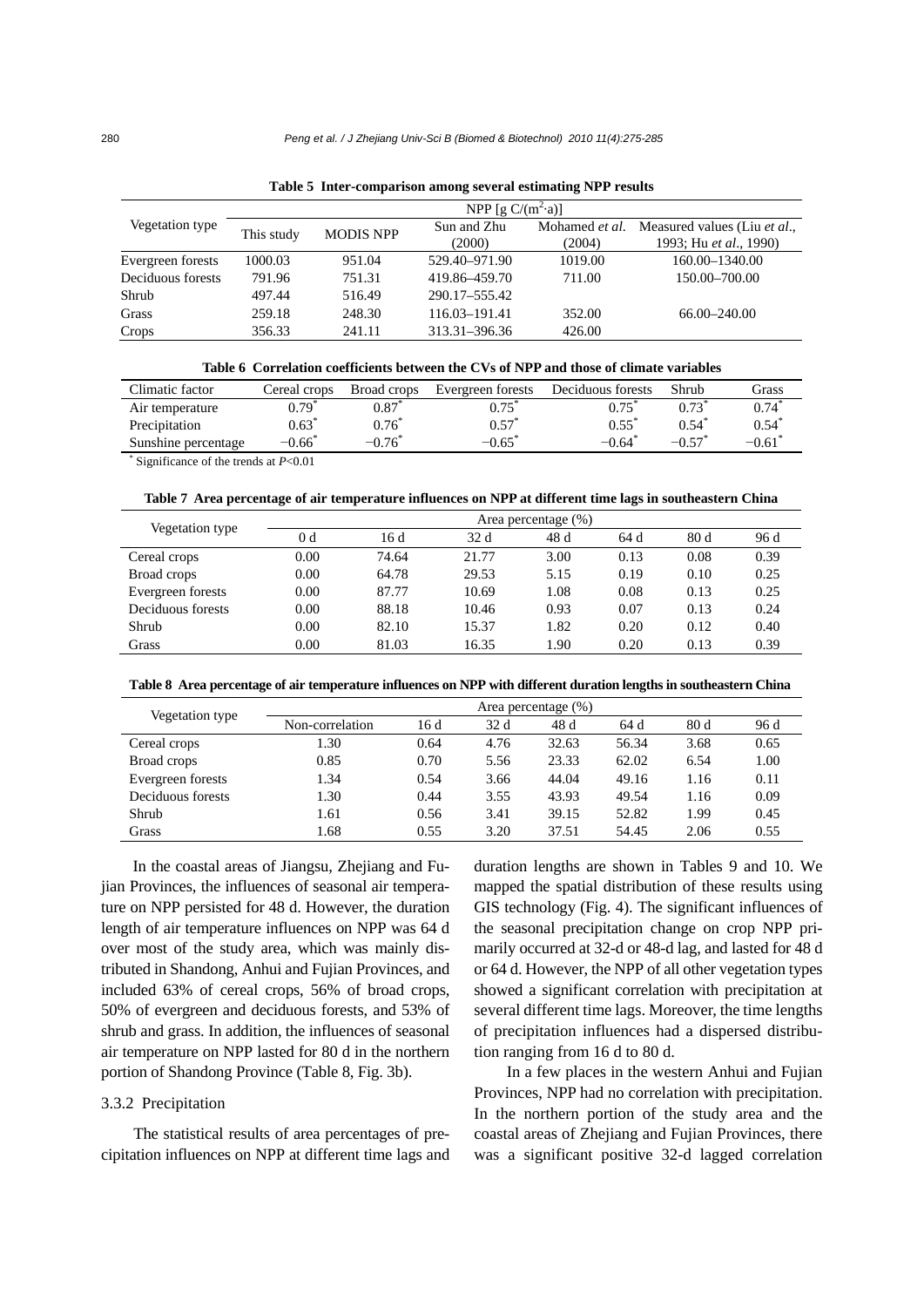|                   |            |                  | NPP [g $C/(m^2 \cdot a)$ ] |                          |                                                        |
|-------------------|------------|------------------|----------------------------|--------------------------|--------------------------------------------------------|
| Vegetation type   | This study | <b>MODIS NPP</b> | Sun and Zhu<br>(2000)      | Mohamed et al.<br>(2004) | Measured values (Liu et al.,<br>1993; Hu et al., 1990) |
| Evergreen forests | 1000.03    | 951.04           | 529.40-971.90              | 1019.00                  | 160.00-1340.00                                         |
| Deciduous forests | 791.96     | 751.31           | 419.86-459.70              | 711.00                   | 150.00–700.00                                          |
| Shrub             | 497.44     | 516.49           | 290.17-555.42              |                          |                                                        |
| Grass             | 259.18     | 248.30           | 116.03-191.41              | 352.00                   | 66.00 - 240.00                                         |
| Crops             | 356.33     | 241.11           | 313.31-396.36              | 426.00                   |                                                        |

**Table 5 Inter-comparison among several estimating NPP results** 

| Table 6 Correlation coefficients between the CVs of NPP and those of climate variables |  |  |  |  |  |  |  |  |  |
|----------------------------------------------------------------------------------------|--|--|--|--|--|--|--|--|--|
|----------------------------------------------------------------------------------------|--|--|--|--|--|--|--|--|--|

| Climatic factor     | Cereal crops     | Broad crops | Evergreen forests | Deciduous forests | Shrub                | Grass   |
|---------------------|------------------|-------------|-------------------|-------------------|----------------------|---------|
| Air temperature     | 0.79             | 0.87        |                   |                   | 0.73                 |         |
| Precipitation       | $0.63^{\degree}$ | 0.76        | 0.57              |                   | 0.54                 | 0.54    |
| Sunshine percentage | 0.66             | $-0.76$     | $-0.65$           | $-0.64^{\degree}$ | $-0.57$ <sup>*</sup> | $-0.61$ |
|                     |                  |             |                   |                   |                      |         |

\* Significance of the trends at *P*<0.01

#### **Table 7 Area percentage of air temperature influences on NPP at different time lags in southeastern China**

| Vegetation type   |      |       |                 | Area percentage (%) |      |      |      |
|-------------------|------|-------|-----------------|---------------------|------|------|------|
|                   | 0 d  | 16 d  | 32 <sub>d</sub> | 48 d                | 64 d | 80d  | 96 d |
| Cereal crops      | 0.00 | 74.64 | 21.77           | 3.00                | 0.13 | 0.08 | 0.39 |
| Broad crops       | 0.00 | 64.78 | 29.53           | 5.15                | 0.19 | 0.10 | 0.25 |
| Evergreen forests | 0.00 | 87.77 | 10.69           | 1.08                | 0.08 | 0.13 | 0.25 |
| Deciduous forests | 0.00 | 88.18 | 10.46           | 0.93                | 0.07 | 0.13 | 0.24 |
| Shrub             | 0.00 | 82.10 | 15.37           | 1.82                | 0.20 | 0.12 | 0.40 |
| Grass             | 0.00 | 81.03 | 16.35           | 1.90                | 0.20 | 0.13 | 0.39 |

**Table 8 Area percentage of air temperature influences on NPP with different duration lengths in southeastern China**

| Vegetation type   |                 |      |      | Area percentage $(\%)$ |       |      |      |
|-------------------|-----------------|------|------|------------------------|-------|------|------|
|                   | Non-correlation | 16 d | 32d  | 48 d                   | 64 d  | 80d  | 96 d |
| Cereal crops      | 1.30            | 0.64 | 4.76 | 32.63                  | 56.34 | 3.68 | 0.65 |
| Broad crops       | 0.85            | 0.70 | 5.56 | 23.33                  | 62.02 | 6.54 | 1.00 |
| Evergreen forests | 1.34            | 0.54 | 3.66 | 44.04                  | 49.16 | 1.16 | 0.11 |
| Deciduous forests | 1.30            | 0.44 | 3.55 | 43.93                  | 49.54 | 1.16 | 0.09 |
| Shrub             | 1.61            | 0.56 | 3.41 | 39.15                  | 52.82 | 1.99 | 0.45 |
| Grass             | 1.68            | 0.55 | 3.20 | 37.51                  | 54.45 | 2.06 | 0.55 |

In the coastal areas of Jiangsu, Zhejiang and Fujian Provinces, the influences of seasonal air temperature on NPP persisted for 48 d. However, the duration length of air temperature influences on NPP was 64 d over most of the study area, which was mainly distributed in Shandong, Anhui and Fujian Provinces, and included 63% of cereal crops, 56% of broad crops, 50% of evergreen and deciduous forests, and 53% of shrub and grass. In addition, the influences of seasonal air temperature on NPP lasted for 80 d in the northern portion of Shandong Province (Table 8, Fig. 3b).

#### 3.3.2 Precipitation

The statistical results of area percentages of precipitation influences on NPP at different time lags and duration lengths are shown in Tables 9 and 10. We mapped the spatial distribution of these results using GIS technology (Fig. 4). The significant influences of the seasonal precipitation change on crop NPP primarily occurred at 32-d or 48-d lag, and lasted for 48 d or 64 d. However, the NPP of all other vegetation types showed a significant correlation with precipitation at several different time lags. Moreover, the time lengths of precipitation influences had a dispersed distribution ranging from 16 d to 80 d.

In a few places in the western Anhui and Fujian Provinces, NPP had no correlation with precipitation. In the northern portion of the study area and the coastal areas of Zhejiang and Fujian Provinces, there was a significant positive 32-d lagged correlation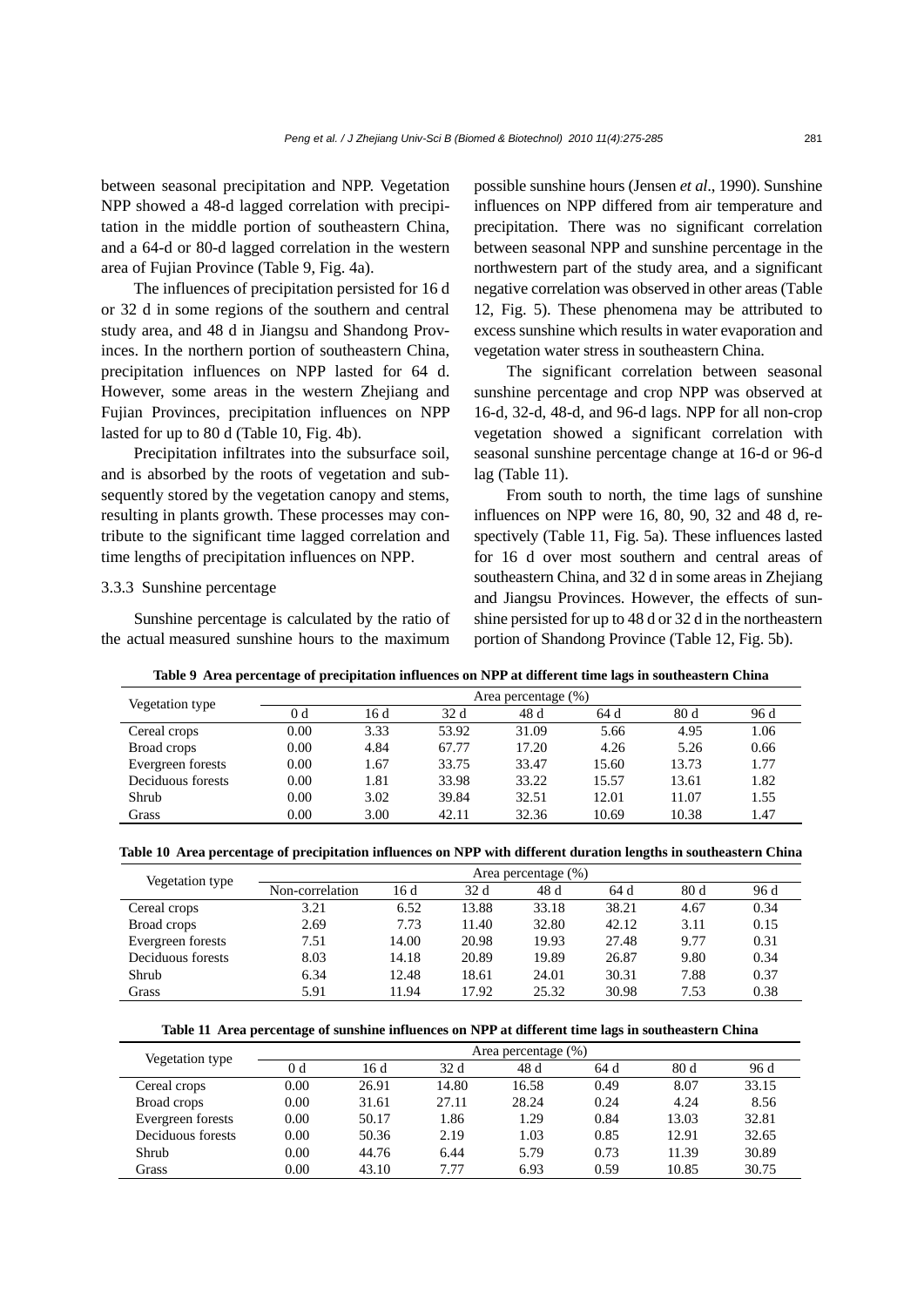between seasonal precipitation and NPP. Vegetation NPP showed a 48-d lagged correlation with precipitation in the middle portion of southeastern China, and a 64-d or 80-d lagged correlation in the western area of Fujian Province (Table 9, Fig. 4a).

The influences of precipitation persisted for 16 d or 32 d in some regions of the southern and central study area, and 48 d in Jiangsu and Shandong Provinces. In the northern portion of southeastern China, precipitation influences on NPP lasted for 64 d. However, some areas in the western Zhejiang and Fujian Provinces, precipitation influences on NPP lasted for up to 80 d (Table 10, Fig. 4b).

Precipitation infiltrates into the subsurface soil, and is absorbed by the roots of vegetation and subsequently stored by the vegetation canopy and stems, resulting in plants growth. These processes may contribute to the significant time lagged correlation and time lengths of precipitation influences on NPP.

# 3.3.3 Sunshine percentage

Sunshine percentage is calculated by the ratio of the actual measured sunshine hours to the maximum

possible sunshine hours (Jensen *et al*., 1990). Sunshine influences on NPP differed from air temperature and precipitation. There was no significant correlation between seasonal NPP and sunshine percentage in the northwestern part of the study area, and a significant negative correlation was observed in other areas (Table 12, Fig. 5). These phenomena may be attributed to excess sunshine which results in water evaporation and vegetation water stress in southeastern China.

The significant correlation between seasonal sunshine percentage and crop NPP was observed at 16-d, 32-d, 48-d, and 96-d lags. NPP for all non-crop vegetation showed a significant correlation with seasonal sunshine percentage change at 16-d or 96-d lag (Table 11).

From south to north, the time lags of sunshine influences on NPP were 16, 80, 90, 32 and 48 d, respectively (Table 11, Fig. 5a). These influences lasted for 16 d over most southern and central areas of southeastern China, and 32 d in some areas in Zhejiang and Jiangsu Provinces. However, the effects of sunshine persisted for up to 48 d or 32 d in the northeastern portion of Shandong Province (Table 12, Fig. 5b).

|                        |      |      |       | Area percentage (%) |       |       |      |
|------------------------|------|------|-------|---------------------|-------|-------|------|
| <b>Vegetation type</b> | 0 d  | 16 d | 32 d  | 48 d                | 64 d  | 80d   | 96 d |
| Cereal crops           | 0.00 | 3.33 | 53.92 | 31.09               | 5.66  | 4.95  | 1.06 |
| Broad crops            | 0.00 | 4.84 | 67.77 | 17.20               | 4.26  | 5.26  | 0.66 |
| Evergreen forests      | 0.00 | 1.67 | 33.75 | 33.47               | 15.60 | 13.73 | 1.77 |
| Deciduous forests      | 0.00 | 1.81 | 33.98 | 33.22               | 15.57 | 13.61 | 1.82 |
| Shrub                  | 0.00 | 3.02 | 39.84 | 32.51               | 12.01 | 11.07 | 1.55 |
| Grass                  | 0.00 | 3.00 | 42.11 | 32.36               | 10.69 | 10.38 | 1.47 |

**Table 9 Area percentage of precipitation influences on NPP at different time lags in southeastern China**

**Table 10 Area percentage of precipitation influences on NPP with different duration lengths in southeastern China** 

| Vegetation type   |                 |       |                 | Area percentage (%) |       |      |      |
|-------------------|-----------------|-------|-----------------|---------------------|-------|------|------|
|                   | Non-correlation | 16 d  | 32 <sub>d</sub> | 48 d                | 64 d  | 80d  | 96 d |
| Cereal crops      | 3.21            | 6.52  | 13.88           | 33.18               | 38.21 | 4.67 | 0.34 |
| Broad crops       | 2.69            | 7.73  | 11.40           | 32.80               | 42.12 | 3.11 | 0.15 |
| Evergreen forests | 7.51            | 14.00 | 20.98           | 19.93               | 27.48 | 9.77 | 0.31 |
| Deciduous forests | 8.03            | 14.18 | 20.89           | 19.89               | 26.87 | 9.80 | 0.34 |
| Shrub             | 6.34            | 12.48 | 18.61           | 24.01               | 30.31 | 7.88 | 0.37 |
| Grass             | 5.91            | 11.94 | 17.92           | 25.32               | 30.98 | 7.53 | 0.38 |

**Table 11 Area percentage of sunshine influences on NPP at different time lags in southeastern China**

| Vegetation type   |      |       |       | Area percentage (%) |      |       |       |
|-------------------|------|-------|-------|---------------------|------|-------|-------|
|                   | 0 d  | 16 d  | 32 d  | 48 d                | 64 d | 80d   | 96 d  |
| Cereal crops      | 0.00 | 26.91 | 14.80 | 16.58               | 0.49 | 8.07  | 33.15 |
| Broad crops       | 0.00 | 31.61 | 27.11 | 28.24               | 0.24 | 4.24  | 8.56  |
| Evergreen forests | 0.00 | 50.17 | 1.86  | 1.29                | 0.84 | 13.03 | 32.81 |
| Deciduous forests | 0.00 | 50.36 | 2.19  | 1.03                | 0.85 | 12.91 | 32.65 |
| Shrub             | 0.00 | 44.76 | 6.44  | 5.79                | 0.73 | 11.39 | 30.89 |
| Grass             | 0.00 | 43.10 | 7.77  | 6.93                | 0.59 | 10.85 | 30.75 |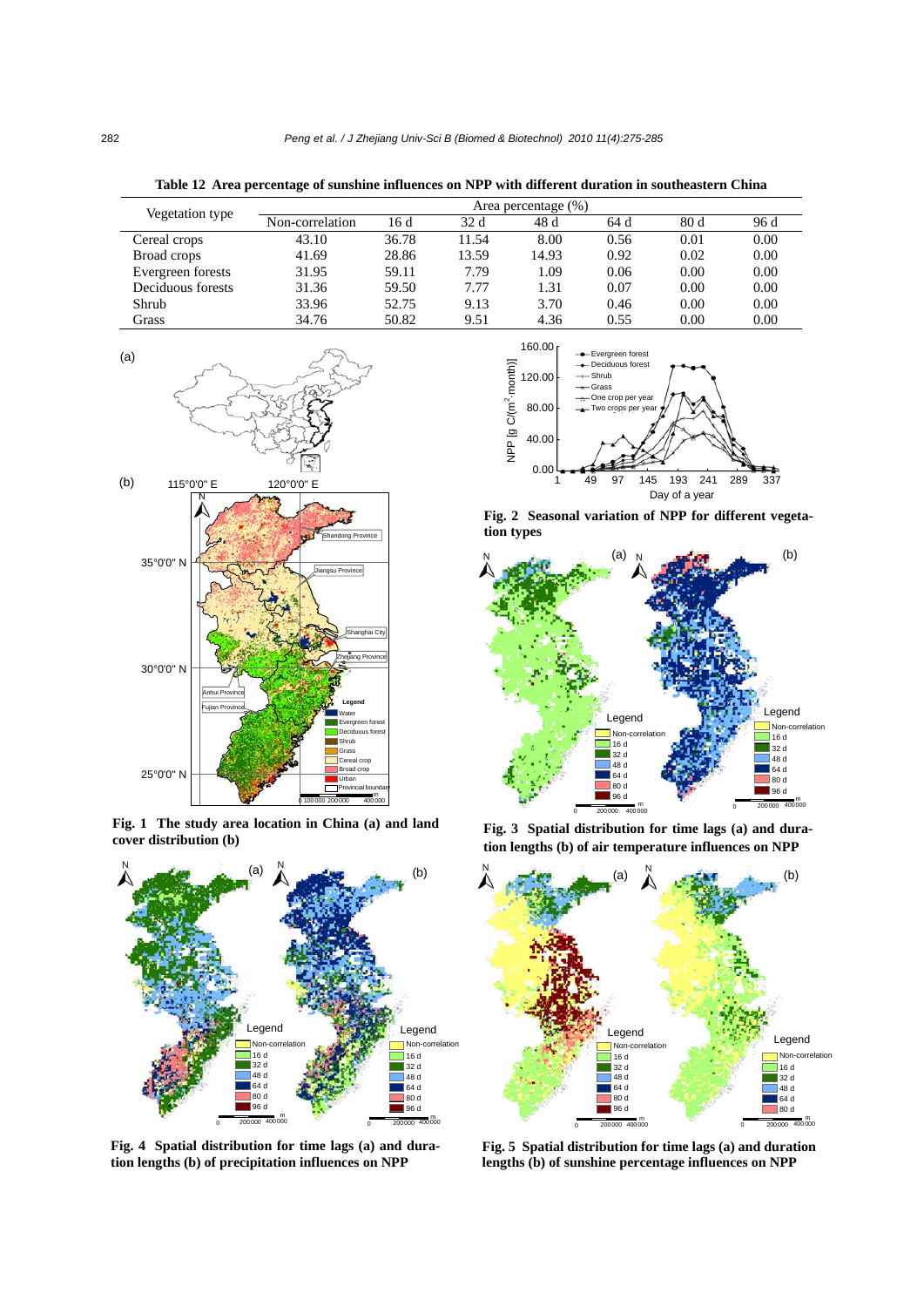| Vegetation type   | Area percentage (%) |       |       |       |      |      |      |
|-------------------|---------------------|-------|-------|-------|------|------|------|
|                   | Non-correlation     | 16 d  | 32 d  | 48 d  | 64 d | 80d  | 96 d |
| Cereal crops      | 43.10               | 36.78 | 11.54 | 8.00  | 0.56 | 0.01 | 0.00 |
| Broad crops       | 41.69               | 28.86 | 13.59 | 14.93 | 0.92 | 0.02 | 0.00 |
| Evergreen forests | 31.95               | 59.11 | 7.79  | 1.09  | 0.06 | 0.00 | 0.00 |
| Deciduous forests | 31.36               | 59.50 | 7.77  | 1.31  | 0.07 | 0.00 | 0.00 |
| Shrub             | 33.96               | 52.75 | 9.13  | 3.70  | 0.46 | 0.00 | 0.00 |
| Grass             | 34.76               | 50.82 | 9.51  | 4.36  | 0.55 | 0.00 | 0.00 |

**Table 12 Area percentage of sunshine influences on NPP with different duration in southeastern China** 



**Fig. 1 The study area location in China (a) and land cover distribution (b)**



**Fig. 4 Spatial distribution for time lags (a) and duration lengths (b) of precipitation influences on NPP**



**Fig. 2 Seasonal variation of NPP for different vegetation types**



**Fig. 3 Spatial distribution for time lags (a) and duration lengths (b) of air temperature influences on NPP**



**Fig. 5 Spatial distribution for time lags (a) and duration lengths (b) of sunshine percentage influences on NPP**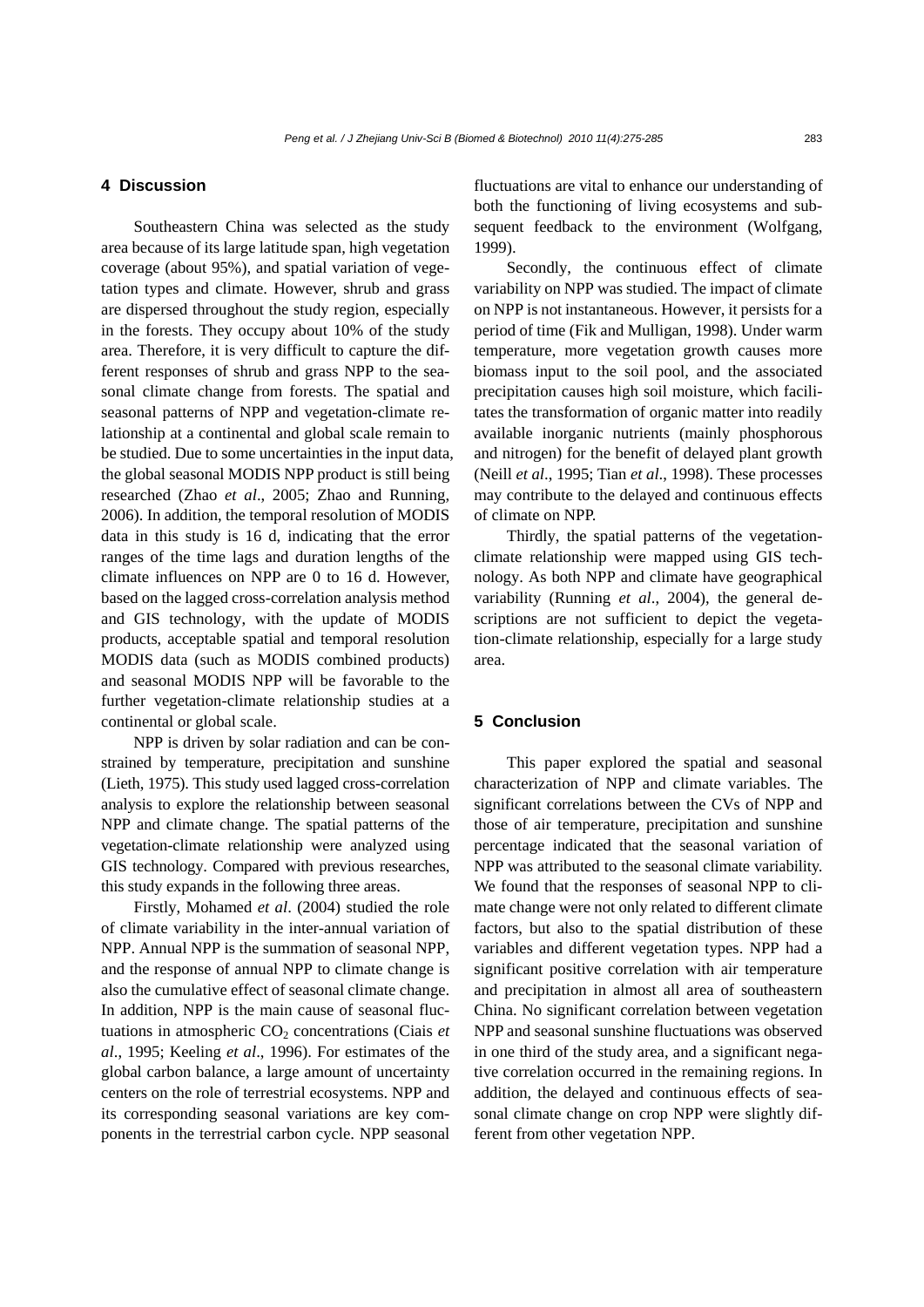# **4 Discussion**

Southeastern China was selected as the study area because of its large latitude span, high vegetation coverage (about 95%), and spatial variation of vegetation types and climate. However, shrub and grass are dispersed throughout the study region, especially in the forests. They occupy about 10% of the study area. Therefore, it is very difficult to capture the different responses of shrub and grass NPP to the seasonal climate change from forests. The spatial and seasonal patterns of NPP and vegetation-climate relationship at a continental and global scale remain to be studied. Due to some uncertainties in the input data, the global seasonal MODIS NPP product is still being researched (Zhao *et al*., 2005; Zhao and Running, 2006). In addition, the temporal resolution of MODIS data in this study is 16 d, indicating that the error ranges of the time lags and duration lengths of the climate influences on NPP are 0 to 16 d. However, based on the lagged cross-correlation analysis method and GIS technology, with the update of MODIS products, acceptable spatial and temporal resolution MODIS data (such as MODIS combined products) and seasonal MODIS NPP will be favorable to the further vegetation-climate relationship studies at a continental or global scale.

NPP is driven by solar radiation and can be constrained by temperature, precipitation and sunshine (Lieth, 1975). This study used lagged cross-correlation analysis to explore the relationship between seasonal NPP and climate change. The spatial patterns of the vegetation-climate relationship were analyzed using GIS technology. Compared with previous researches, this study expands in the following three areas.

Firstly, Mohamed *et al*. (2004) studied the role of climate variability in the inter-annual variation of NPP. Annual NPP is the summation of seasonal NPP, and the response of annual NPP to climate change is also the cumulative effect of seasonal climate change. In addition, NPP is the main cause of seasonal fluctuations in atmospheric  $CO<sub>2</sub>$  concentrations (Ciais *et al*., 1995; Keeling *et al*., 1996). For estimates of the global carbon balance, a large amount of uncertainty centers on the role of terrestrial ecosystems. NPP and its corresponding seasonal variations are key components in the terrestrial carbon cycle. NPP seasonal

fluctuations are vital to enhance our understanding of both the functioning of living ecosystems and subsequent feedback to the environment (Wolfgang, 1999).

Secondly, the continuous effect of climate variability on NPP was studied. The impact of climate on NPP is not instantaneous. However, it persists for a period of time (Fik and Mulligan, 1998). Under warm temperature, more vegetation growth causes more biomass input to the soil pool, and the associated precipitation causes high soil moisture, which facilitates the transformation of organic matter into readily available inorganic nutrients (mainly phosphorous and nitrogen) for the benefit of delayed plant growth (Neill *et al*., 1995; Tian *et al*., 1998). These processes may contribute to the delayed and continuous effects of climate on NPP.

Thirdly, the spatial patterns of the vegetationclimate relationship were mapped using GIS technology. As both NPP and climate have geographical variability (Running *et al*., 2004), the general descriptions are not sufficient to depict the vegetation-climate relationship, especially for a large study area.

## **5 Conclusion**

This paper explored the spatial and seasonal characterization of NPP and climate variables. The significant correlations between the CVs of NPP and those of air temperature, precipitation and sunshine percentage indicated that the seasonal variation of NPP was attributed to the seasonal climate variability. We found that the responses of seasonal NPP to climate change were not only related to different climate factors, but also to the spatial distribution of these variables and different vegetation types. NPP had a significant positive correlation with air temperature and precipitation in almost all area of southeastern China. No significant correlation between vegetation NPP and seasonal sunshine fluctuations was observed in one third of the study area, and a significant negative correlation occurred in the remaining regions. In addition, the delayed and continuous effects of seasonal climate change on crop NPP were slightly different from other vegetation NPP.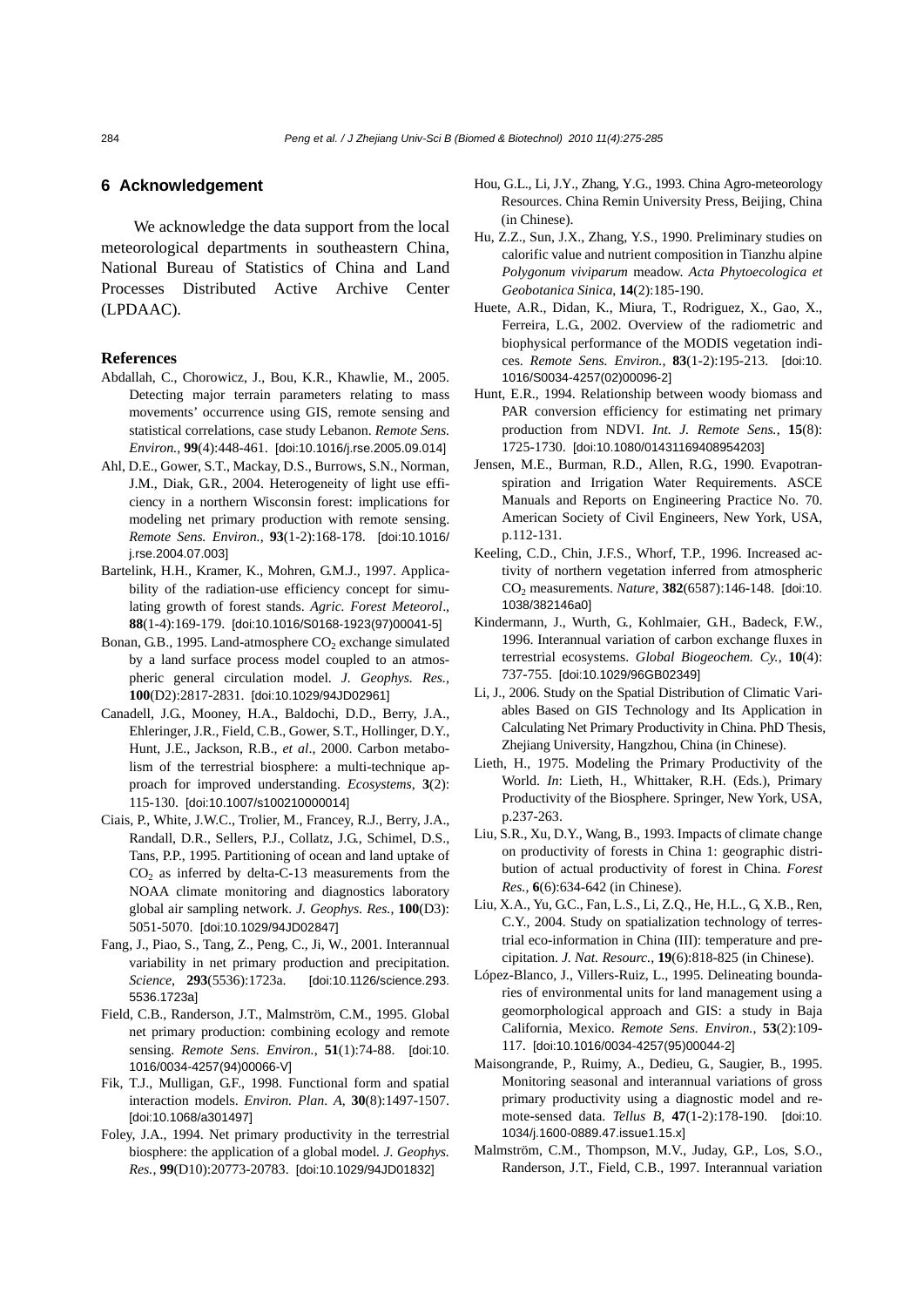## **6 Acknowledgement**

We acknowledge the data support from the local meteorological departments in southeastern China, National Bureau of Statistics of China and Land Processes Distributed Active Archive Center (LPDAAC).

#### **References**

- Abdallah, C., Chorowicz, J., Bou, K.R., Khawlie, M., 2005. Detecting major terrain parameters relating to mass movements' occurrence using GIS, remote sensing and statistical correlations, case study Lebanon. *Remote Sens. Environ.*, **99**(4):448-461. [doi:10.1016/j.rse.2005.09.014]
- Ahl, D.E., Gower, S.T., Mackay, D.S., Burrows, S.N., Norman, J.M., Diak, G.R., 2004. Heterogeneity of light use efficiency in a northern Wisconsin forest: implications for modeling net primary production with remote sensing. *Remote Sens. Environ.*, **93**(1-2):168-178. [doi:10.1016/ j.rse.2004.07.003]
- Bartelink, H.H., Kramer, K., Mohren, G.M.J., 1997. Applicability of the radiation-use efficiency concept for simulating growth of forest stands. *Agric. Forest Meteorol*., **88**(1-4):169-179. [doi:10.1016/S0168-1923(97)00041-5]
- Bonan, G.B., 1995. Land-atmosphere  $CO<sub>2</sub>$  exchange simulated by a land surface process model coupled to an atmospheric general circulation model. *J. Geophys. Res.*, **100**(D2):2817-2831. [doi:10.1029/94JD02961]
- Canadell, J.G., Mooney, H.A., Baldochi, D.D., Berry, J.A., Ehleringer, J.R., Field, C.B., Gower, S.T., Hollinger, D.Y., Hunt, J.E., Jackson, R.B., *et al*., 2000. Carbon metabolism of the terrestrial biosphere: a multi-technique approach for improved understanding. *Ecosystems*, **3**(2): 115-130. [doi:10.1007/s100210000014]
- Ciais, P., White, J.W.C., Trolier, M., Francey, R.J., Berry, J.A., Randall, D.R., Sellers, P.J., Collatz, J.G., Schimel, D.S., Tans, P.P., 1995. Partitioning of ocean and land uptake of  $CO<sub>2</sub>$  as inferred by delta-C-13 measurements from the NOAA climate monitoring and diagnostics laboratory global air sampling network. *J. Geophys. Res.*, **100**(D3): 5051-5070. [doi:10.1029/94JD02847]
- Fang, J., Piao, S., Tang, Z., Peng, C., Ji, W., 2001. Interannual variability in net primary production and precipitation. *Science*, **293**(5536):1723a. [doi:10.1126/science.293. 5536.1723a]
- Field, C.B., Randerson, J.T., Malmström, C.M., 1995. Global net primary production: combining ecology and remote sensing. *Remote Sens. Environ.*, **51**(1):74-88. [doi:10. 1016/0034-4257(94)00066-V]
- Fik, T.J., Mulligan, G.F., 1998. Functional form and spatial interaction models. *Environ. Plan*. *A*, **30**(8):1497-1507. [doi:10.1068/a301497]
- Foley, J.A., 1994. Net primary productivity in the terrestrial biosphere: the application of a global model*. J. Geophys. Res.*, **99**(D10):20773-20783. [doi:10.1029/94JD01832]
- Hou, G.L., Li, J.Y., Zhang, Y.G., 1993. China Agro-meteorology Resources. China Remin University Press, Beijing, China (in Chinese).
- Hu, Z.Z., Sun, J.X., Zhang, Y.S., 1990. Preliminary studies on calorific value and nutrient composition in Tianzhu alpine *Polygonum viviparum* meadow. *Acta Phytoecologica et Geobotanica Sinica*, **14**(2):185-190.
- Huete, A.R., Didan, K., Miura, T., Rodriguez, X., Gao, X., Ferreira, L.G., 2002. Overview of the radiometric and biophysical performance of the MODIS vegetation indices. *Remote Sens. Environ.*, **83**(1-2):195-213. [doi:10. 1016/S0034-4257(02)00096-2]
- Hunt, E.R., 1994. Relationship between woody biomass and PAR conversion efficiency for estimating net primary production from NDVI. *Int. J. Remote Sens.*, **15**(8): 1725-1730. [doi:10.1080/01431169408954203]
- Jensen, M.E., Burman, R.D., Allen, R.G., 1990. Evapotranspiration and Irrigation Water Requirements. ASCE Manuals and Reports on Engineering Practice No. 70. American Society of Civil Engineers, New York, USA, p.112-131.
- Keeling, C.D., Chin, J.F.S., Whorf, T.P., 1996. Increased activity of northern vegetation inferred from atmospheric CO2 measurements. *Nature*, **382**(6587):146-148. [doi:10. 1038/382146a0]
- Kindermann, J., Wurth, G., Kohlmaier, G.H., Badeck, F.W., 1996. Interannual variation of carbon exchange fluxes in terrestrial ecosystems. *Global Biogeochem. Cy.*, **10**(4): 737-755. [doi:10.1029/96GB02349]
- Li, J., 2006. Study on the Spatial Distribution of Climatic Variables Based on GIS Technology and Its Application in Calculating Net Primary Productivity in China. PhD Thesis, Zhejiang University, Hangzhou, China (in Chinese).
- Lieth, H., 1975. Modeling the Primary Productivity of the World. *In*: Lieth, H., Whittaker, R.H. (Eds.), Primary Productivity of the Biosphere. Springer, New York, USA, p.237-263.
- Liu, S.R., Xu, D.Y., Wang, B., 1993. Impacts of climate change on productivity of forests in China 1: geographic distribution of actual productivity of forest in China. *Forest Res.*, **6**(6):634-642 (in Chinese).
- Liu, X.A., Yu, G.C., Fan, L.S., Li, Z.Q., He, H.L., G, X.B., Ren, C.Y., 2004. Study on spatialization technology of terrestrial eco-information in China (III): temperature and precipitation. *J. Nat. Resourc.*, **19**(6):818-825 (in Chinese).
- López-Blanco, J., Villers-Ruiz, L., 1995. Delineating boundaries of environmental units for land management using a geomorphological approach and GIS: a study in Baja California, Mexico. *Remote Sens. Environ.*, **53**(2):109- 117. [doi:10.1016/0034-4257(95)00044-2]
- Maisongrande, P., Ruimy, A., Dedieu, G., Saugier, B., 1995. Monitoring seasonal and interannual variations of gross primary productivity using a diagnostic model and remote-sensed data. *Tellus B*, **47**(1-2):178-190. [doi:10. 1034/j.1600-0889.47.issue1.15.x]
- Malmström, C.M., Thompson, M.V., Juday, G.P., Los, S.O., Randerson, J.T., Field, C.B., 1997. Interannual variation